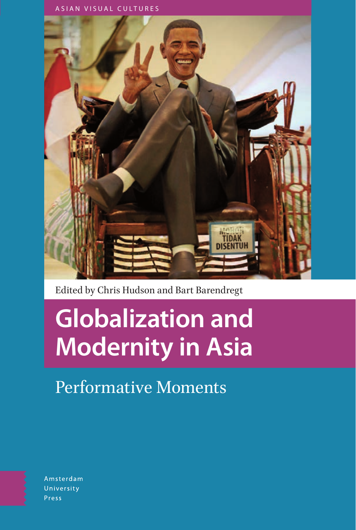



Edited by Chris Hudson and Bart Barendregt

# **Globalization and Modernity in Asia**

Performative Moments

Amsterdam University Press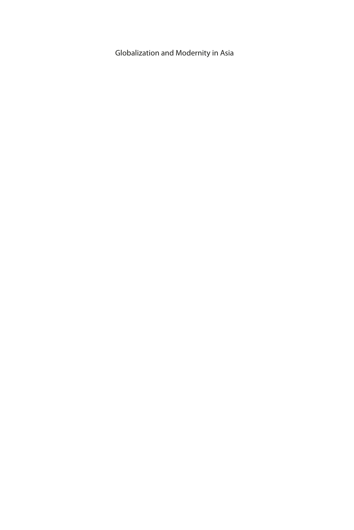Globalization and Modernity in Asia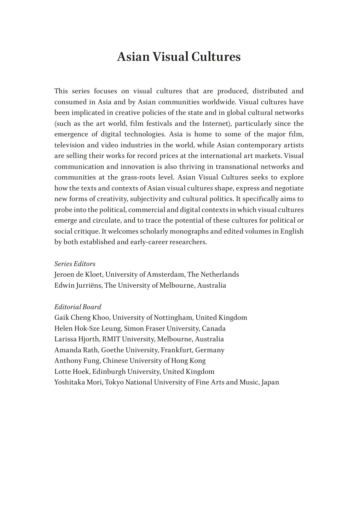### **Asian Visual Cultures**

This series focuses on visual cultures that are produced, distributed and consumed in Asia and by Asian communities worldwide. Visual cultures have been implicated in creative policies of the state and in global cultural networks (such as the art world, film festivals and the Internet), particularly since the emergence of digital technologies. Asia is home to some of the major film, television and video industries in the world, while Asian contemporary artists are selling their works for record prices at the international art markets. Visual communication and innovation is also thriving in transnational networks and communities at the grass-roots level. Asian Visual Cultures seeks to explore how the texts and contexts of Asian visual cultures shape, express and negotiate new forms of creativity, subjectivity and cultural politics. It specifically aims to probe into the political, commercial and digital contexts in which visual cultures emerge and circulate, and to trace the potential of these cultures for political or social critique. It welcomes scholarly monographs and edited volumes in English by both established and early-career researchers.

#### *Series Editors*

Jeroen de Kloet, University of Amsterdam, The Netherlands Edwin Jurriëns, The University of Melbourne, Australia

#### *Editorial Board*

Gaik Cheng Khoo, University of Nottingham, United Kingdom Helen Hok-Sze Leung, Simon Fraser University, Canada Larissa Hjorth, RMIT University, Melbourne, Australia Amanda Rath, Goethe University, Frankfurt, Germany Anthony Fung, Chinese University of Hong Kong Lotte Hoek, Edinburgh University, United Kingdom Yoshitaka Mori, Tokyo National University of Fine Arts and Music, Japan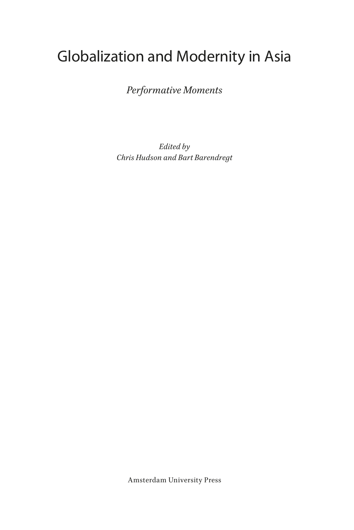# Globalization and Modernity in Asia

*Performative Moments*

*Edited by Chris Hudson and Bart Barendregt*

Amsterdam University Press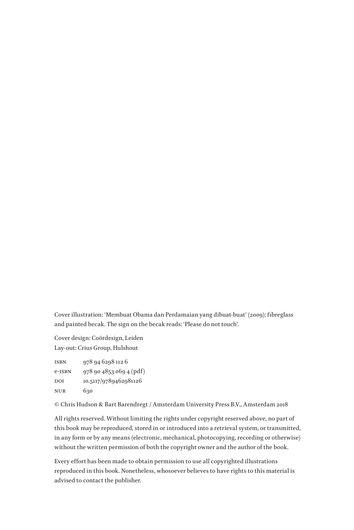Cover illustration: 'Membuat Obama dan Perdamaian yang dibuat-buat' (2009); fibreglass and painted becak. The sign on the becak reads: 'Please do not touch'.

Cover design: Coördesign, Leiden Lay-out: Crius Group, Hulshout

| ISBN   | 978 94 6298 112 6       |
|--------|-------------------------|
| e-ISBN | 978 90 4853 069 4 (pdf) |
| DOI    | 10.5117/9789462981126   |
| NUR    | 630                     |

© Chris Hudson & Bart Barendregt / Amsterdam University Press B.V., Amsterdam 2018

All rights reserved. Without limiting the rights under copyright reserved above, no part of this book may be reproduced, stored in or introduced into a retrieval system, or transmitted, in any form or by any means (electronic, mechanical, photocopying, recording or otherwise) without the written permission of both the copyright owner and the author of the book.

Every effort has been made to obtain permission to use all copyrighted illustrations reproduced in this book. Nonetheless, whosoever believes to have rights to this material is advised to contact the publisher.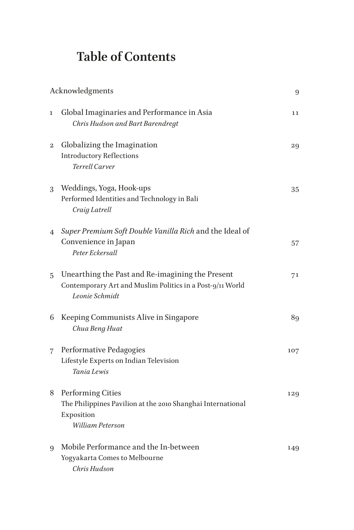## **Table of Contents**

|                | Acknowledgments                                                                                                                 |     |
|----------------|---------------------------------------------------------------------------------------------------------------------------------|-----|
| 1              | Global Imaginaries and Performance in Asia<br>Chris Hudson and Bart Barendregt                                                  | 11  |
| $\mathbf 2$    | Globalizing the Imagination<br><b>Introductory Reflections</b><br>Terrell Carver                                                | 29  |
| 3              | Weddings, Yoga, Hook-ups<br>Performed Identities and Technology in Bali<br>Craig Latrell                                        | 35  |
| $\overline{4}$ | Super Premium Soft Double Vanilla Rich and the Ideal of<br>Convenience in Japan<br>Peter Eckersall                              | 57  |
| 5              | Unearthing the Past and Re-imagining the Present<br>Contemporary Art and Muslim Politics in a Post-9/11 World<br>Leonie Schmidt | 71  |
| 6              | Keeping Communists Alive in Singapore<br>Chua Beng Huat                                                                         | 89  |
| 7              | Performative Pedagogies<br>Lifestyle Experts on Indian Television<br>Tania Lewis                                                | 107 |
| 8              | <b>Performing Cities</b><br>The Philippines Pavilion at the 2010 Shanghai International<br>Exposition<br>William Peterson       | 129 |
| 9              | Mobile Performance and the In-between<br>Yogyakarta Comes to Melbourne<br>Chris Hudson                                          | 149 |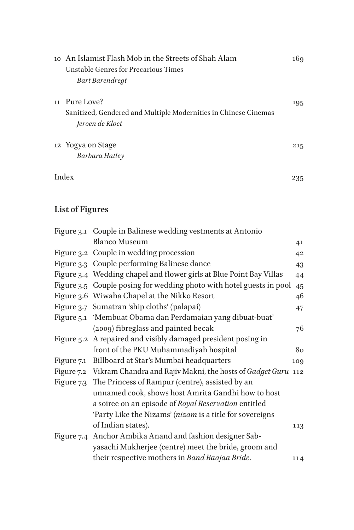|    | 10 An Islamist Flash Mob in the Streets of Shah Alam            | 169 |
|----|-----------------------------------------------------------------|-----|
|    | Unstable Genres for Precarious Times                            |     |
|    | <b>Bart Barendregt</b>                                          |     |
| 11 | Pure Love?                                                      | 195 |
|    | Sanitized, Gendered and Multiple Modernities in Chinese Cinemas |     |
|    | Jeroen de Kloet                                                 |     |
|    | 12 Yogya on Stage                                               | 215 |
|    | Barbara Hatley                                                  |     |
|    | Index                                                           | 235 |

### **List of Figures**

| Figure 3.1 Couple in Balinese wedding vestments at Antonio              |     |
|-------------------------------------------------------------------------|-----|
| <b>Blanco Museum</b>                                                    | 41  |
| Figure 3.2 Couple in wedding procession                                 | 42  |
| Figure 3.3 Couple performing Balinese dance                             | 43  |
| Figure 3.4 Wedding chapel and flower girls at Blue Point Bay Villas     | 44  |
| Figure 3.5 Couple posing for wedding photo with hotel guests in pool    | 45  |
| Figure 3.6 Wiwaha Chapel at the Nikko Resort                            | 46  |
| Figure 3.7 Sumatran 'ship cloths' (palapai)                             | 47  |
| Figure 5.1 'Membuat Obama dan Perdamaian yang dibuat-buat'              |     |
| (2009) fibreglass and painted becak                                     | 76  |
| Figure 5.2 A repaired and visibly damaged president posing in           |     |
| front of the PKU Muhammadiyah hospital                                  | 80  |
| Figure 7.1 Billboard at Star's Mumbai headquarters                      | 109 |
| Figure 7.2 Vikram Chandra and Rajiv Makni, the hosts of Gadget Guru 112 |     |
| Figure 7.3 The Princess of Rampur (centre), assisted by an              |     |
| unnamed cook, shows host Amrita Gandhi how to host                      |     |
| a soiree on an episode of Royal Reservation entitled                    |     |
| 'Party Like the Nizams' (nizam is a title for sovereigns                |     |
| of Indian states).                                                      | 113 |
| Figure 7.4 Anchor Ambika Anand and fashion designer Sab-                |     |
| yasachi Mukherjee (centre) meet the bride, groom and                    |     |
| their respective mothers in Band Baajaa Bride.                          | 114 |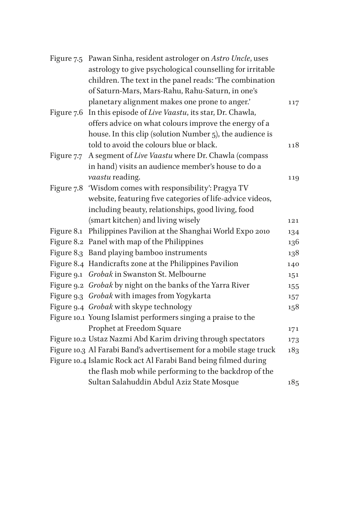|            | Figure 7.5 Pawan Sinha, resident astrologer on Astro Uncle, uses    |     |
|------------|---------------------------------------------------------------------|-----|
|            | astrology to give psychological counselling for irritable           |     |
|            | children. The text in the panel reads: 'The combination             |     |
|            | of Saturn-Mars, Mars-Rahu, Rahu-Saturn, in one's                    |     |
|            | planetary alignment makes one prone to anger.'                      | 117 |
| Figure 7.6 | In this episode of Live Vaastu, its star, Dr. Chawla,               |     |
|            | offers advice on what colours improve the energy of a               |     |
|            | house. In this clip (solution Number 5), the audience is            |     |
|            | told to avoid the colours blue or black.                            | 118 |
| Figure 7.7 | A segment of Live Vaastu where Dr. Chawla (compass                  |     |
|            | in hand) visits an audience member's house to do a                  |     |
|            | vaastu reading.                                                     | 119 |
|            | Figure 7.8 'Wisdom comes with responsibility': Pragya TV            |     |
|            | website, featuring five categories of life-advice videos,           |     |
|            | including beauty, relationships, good living, food                  |     |
|            | (smart kitchen) and living wisely                                   | 121 |
|            | Figure 8.1 Philippines Pavilion at the Shanghai World Expo 2010     | 134 |
|            | Figure 8.2 Panel with map of the Philippines                        | 136 |
|            | Figure 8.3 Band playing bamboo instruments                          | 138 |
|            | Figure 8.4 Handicrafts zone at the Philippines Pavilion             | 140 |
|            | Figure 9.1 Grobak in Swanston St. Melbourne                         | 151 |
|            | Figure 9.2 Grobak by night on the banks of the Yarra River          | 155 |
|            | Figure 9.3 Grobak with images from Yogykarta                        | 157 |
|            | Figure 9.4 Grobak with skype technology                             | 158 |
|            | Figure 10.1 Young Islamist performers singing a praise to the       |     |
|            | Prophet at Freedom Square                                           | 171 |
|            | Figure 10.2 Ustaz Nazmi Abd Karim driving through spectators        | 173 |
|            | Figure 10.3 Al Farabi Band's advertisement for a mobile stage truck | 183 |
|            | Figure 10.4 Islamic Rock act Al Farabi Band being filmed during     |     |
|            | the flash mob while performing to the backdrop of the               |     |
|            | Sultan Salahuddin Abdul Aziz State Mosque                           | 185 |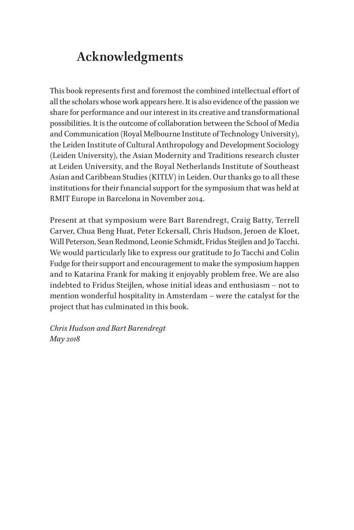### <span id="page-9-0"></span>**Acknowledgments**

This book represents first and foremost the combined intellectual effort of all the scholars whose work appears here. It is also evidence of the passion we share for performance and our interest in its creative and transformational possibilities. It is the outcome of collaboration between the School of Media and Communication (Royal Melbourne Institute of Technology University), the Leiden Institute of Cultural Anthropology and Development Sociology (Leiden University), the Asian Modernity and Traditions research cluster at Leiden University, and the Royal Netherlands Institute of Southeast Asian and Caribbean Studies (KITLV) in Leiden. Our thanks go to all these institutions for their financial support for the symposium that was held at RMIT Europe in Barcelona in November 2014.

Present at that symposium were Bart Barendregt, Craig Batty, Terrell Carver, Chua Beng Huat, Peter Eckersall, Chris Hudson, Jeroen de Kloet, Will Peterson, Sean Redmond, Leonie Schmidt, Fridus Steijlen and Jo Tacchi. We would particularly like to express our gratitude to Jo Tacchi and Colin Fudge for their support and encouragement to make the symposium happen and to Katarina Frank for making it enjoyably problem free. We are also indebted to Fridus Steijlen, whose initial ideas and enthusiasm – not to mention wonderful hospitality in Amsterdam – were the catalyst for the project that has culminated in this book.

*Chris Hudson and Bart Barendregt May 2018*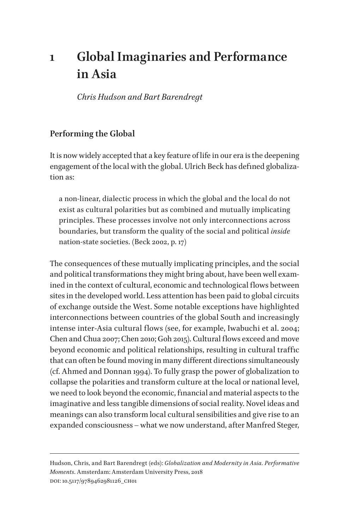### <span id="page-11-0"></span>**1 Global Imaginaries and Performance in Asia**

*Chris Hudson and Bart Barendregt*

### **Performing the Global**

It is now widely accepted that a key feature of life in our era is the deepening engagement of the local with the global. Ulrich Beck has defined globalization as:

a non-linear, dialectic process in which the global and the local do not exist as cultural polarities but as combined and mutually implicating principles. These processes involve not only interconnections across boundaries, but transform the quality of the social and political *inside* nation-state societies. (Beck 2002, p. 17)

The consequences of these mutually implicating principles, and the social and political transformations they might bring about, have been well examined in the context of cultural, economic and technological flows between sites in the developed world. Less attention has been paid to global circuits of exchange outside the West. Some notable exceptions have highlighted interconnections between countries of the global South and increasingly intense inter-Asia cultural flows (see, for example, Iwabuchi et al. 2004; Chen and Chua 2007; Chen 2010; Goh 2015). Cultural flows exceed and move beyond economic and political relationships, resulting in cultural traffic that can often be found moving in many different directions simultaneously (cf. Ahmed and Donnan 1994). To fully grasp the power of globalization to collapse the polarities and transform culture at the local or national level, we need to look beyond the economic, financial and material aspects to the imaginative and less tangible dimensions of social reality. Novel ideas and meanings can also transform local cultural sensibilities and give rise to an expanded consciousness – what we now understand, after Manfred Steger,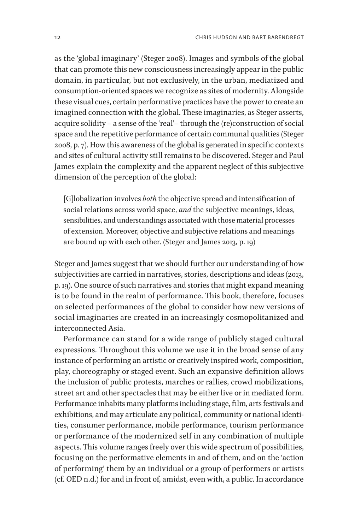as the 'global imaginary' (Steger 2008). Images and symbols of the global that can promote this new consciousness increasingly appear in the public domain, in particular, but not exclusively, in the urban, mediatized and consumption-oriented spaces we recognize as sites of modernity. Alongside these visual cues, certain performative practices have the power to create an imagined connection with the global. These imaginaries, as Steger asserts, acquire solidity – a sense of the 'real'– through the (re)construction of social space and the repetitive performance of certain communal qualities (Steger 2008, p. 7). How this awareness of the global is generated in specific contexts and sites of cultural activity still remains to be discovered. Steger and Paul James explain the complexity and the apparent neglect of this subjective dimension of the perception of the global:

[G]lobalization involves *both* the objective spread and intensification of social relations across world space, *and* the subjective meanings, ideas, sensibilities, and understandings associated with those material processes of extension. Moreover, objective and subjective relations and meanings are bound up with each other. (Steger and James 2013, p. 19)

Steger and James suggest that we should further our understanding of how subjectivities are carried in narratives, stories, descriptions and ideas (2013, p. 19). One source of such narratives and stories that might expand meaning is to be found in the realm of performance. This book, therefore, focuses on selected performances of the global to consider how new versions of social imaginaries are created in an increasingly cosmopolitanized and interconnected Asia.

Performance can stand for a wide range of publicly staged cultural expressions. Throughout this volume we use it in the broad sense of any instance of performing an artistic or creatively inspired work, composition, play, choreography or staged event. Such an expansive definition allows the inclusion of public protests, marches or rallies, crowd mobilizations, street art and other spectacles that may be either live or in mediated form. Performance inhabits many platforms including stage, film, arts festivals and exhibitions, and may articulate any political, community or national identities, consumer performance, mobile performance, tourism performance or performance of the modernized self in any combination of multiple aspects. This volume ranges freely over this wide spectrum of possibilities, focusing on the performative elements in and of them, and on the 'action of performing' them by an individual or a group of performers or artists (cf. OED n.d.) for and in front of, amidst, even with, a public. In accordance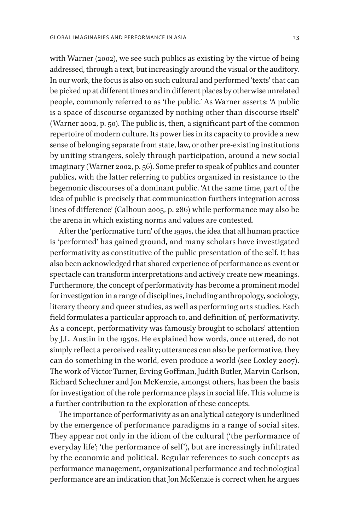with Warner (2002), we see such publics as existing by the virtue of being addressed, through a text, but increasingly around the visual or the auditory. In our work, the focus is also on such cultural and performed 'texts' that can be picked up at different times and in different places by otherwise unrelated people, commonly referred to as 'the public.' As Warner asserts: 'A public is a space of discourse organized by nothing other than discourse itself' (Warner 2002, p. 50). The public is, then, a significant part of the common repertoire of modern culture. Its power lies in its capacity to provide a new sense of belonging separate from state, law, or other pre-existing institutions by uniting strangers, solely through participation, around a new social imaginary (Warner 2002, p. 56). Some prefer to speak of publics and counter publics, with the latter referring to publics organized in resistance to the hegemonic discourses of a dominant public. 'At the same time, part of the idea of public is precisely that communication furthers integration across lines of difference' (Calhoun 2005, p. 286) while performance may also be the arena in which existing norms and values are contested.

After the 'performative turn' of the 1990s, the idea that all human practice is 'performed' has gained ground, and many scholars have investigated performativity as constitutive of the public presentation of the self. It has also been acknowledged that shared experience of performance as event or spectacle can transform interpretations and actively create new meanings. Furthermore, the concept of performativity has become a prominent model for investigation in a range of disciplines, including anthropology, sociology, literary theory and queer studies, as well as performing arts studies. Each field formulates a particular approach to, and definition of, performativity. As a concept, performativity was famously brought to scholars' attention by J.L. Austin in the 1950s. He explained how words, once uttered, do not simply reflect a perceived reality; utterances can also be performative, they can do something in the world, even produce a world (see Loxley 2007). The work of Victor Turner, Erving Goffman, Judith Butler, Marvin Carlson, Richard Schechner and Jon McKenzie, amongst others, has been the basis for investigation of the role performance plays in social life. This volume is a further contribution to the exploration of these concepts.

The importance of performativity as an analytical category is underlined by the emergence of performance paradigms in a range of social sites. They appear not only in the idiom of the cultural ('the performance of everyday life'; 'the performance of self'), but are increasingly infiltrated by the economic and political. Regular references to such concepts as performance management, organizational performance and technological performance are an indication that Jon McKenzie is correct when he argues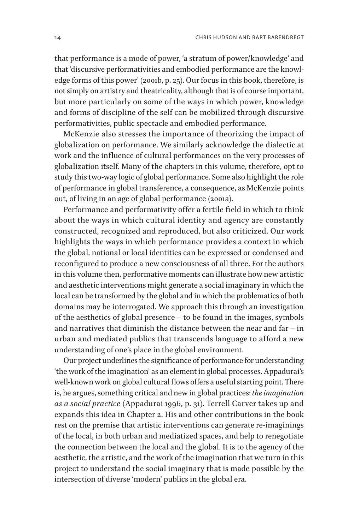that performance is a mode of power, 'a stratum of power/knowledge' and that 'discursive performativities and embodied performance are the knowledge forms of this power' (2001b, p. 25). Our focus in this book, therefore, is not simply on artistry and theatricality, although that is of course important, but more particularly on some of the ways in which power, knowledge and forms of discipline of the self can be mobilized through discursive performativities, public spectacle and embodied performance.

McKenzie also stresses the importance of theorizing the impact of globalization on performance. We similarly acknowledge the dialectic at work and the influence of cultural performances on the very processes of globalization itself. Many of the chapters in this volume, therefore, opt to study this two-way logic of global performance. Some also highlight the role of performance in global transference, a consequence, as McKenzie points out, of living in an age of global performance (2001a).

Performance and performativity offer a fertile field in which to think about the ways in which cultural identity and agency are constantly constructed, recognized and reproduced, but also criticized. Our work highlights the ways in which performance provides a context in which the global, national or local identities can be expressed or condensed and reconfigured to produce a new consciousness of all three. For the authors in this volume then, performative moments can illustrate how new artistic and aesthetic interventions might generate a social imaginary in which the local can be transformed by the global and in which the problematics of both domains may be interrogated. We approach this through an investigation of the aesthetics of global presence – to be found in the images, symbols and narratives that diminish the distance between the near and far – in urban and mediated publics that transcends language to afford a new understanding of one's place in the global environment.

Our project underlines the significance of performance for understanding 'the work of the imagination' as an element in global processes. Appadurai's well-known work on global cultural flows offers a useful starting point. There is, he argues, something critical and new in global practices: *the imagination as a social practice* (Appadurai 1996, p. 31). Terrell Carver takes up and expands this idea in Chapter 2. His and other contributions in the book rest on the premise that artistic interventions can generate re-imaginings of the local, in both urban and mediatized spaces, and help to renegotiate the connection between the local and the global. It is to the agency of the aesthetic, the artistic, and the work of the imagination that we turn in this project to understand the social imaginary that is made possible by the intersection of diverse 'modern' publics in the global era.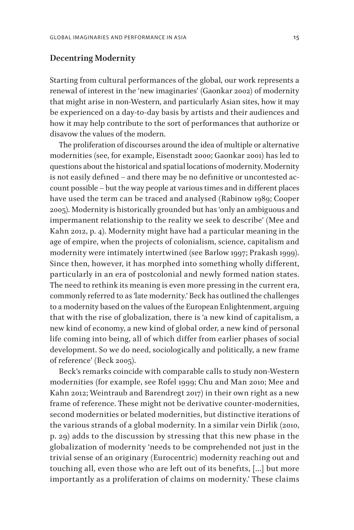#### **Decentring Modernity**

Starting from cultural performances of the global, our work represents a renewal of interest in the 'new imaginaries' (Gaonkar 2002) of modernity that might arise in non-Western, and particularly Asian sites, how it may be experienced on a day-to-day basis by artists and their audiences and how it may help contribute to the sort of performances that authorize or disavow the values of the modern.

The proliferation of discourses around the idea of multiple or alternative modernities (see, for example, Eisenstadt 2000; Gaonkar 2001) has led to questions about the historical and spatial locations of modernity. Modernity is not easily defined – and there may be no definitive or uncontested account possible – but the way people at various times and in different places have used the term can be traced and analysed (Rabinow 1989; Cooper 2005). Modernity is historically grounded but has 'only an ambiguous and impermanent relationship to the reality we seek to describe' (Mee and Kahn 2012, p. 4). Modernity might have had a particular meaning in the age of empire, when the projects of colonialism, science, capitalism and modernity were intimately intertwined (see Barlow 1997; Prakash 1999). Since then, however, it has morphed into something wholly different, particularly in an era of postcolonial and newly formed nation states. The need to rethink its meaning is even more pressing in the current era, commonly referred to as 'late modernity.' Beck has outlined the challenges to a modernity based on the values of the European Enlightenment, arguing that with the rise of globalization, there is 'a new kind of capitalism, a new kind of economy, a new kind of global order, a new kind of personal life coming into being, all of which differ from earlier phases of social development. So we do need, sociologically and politically, a new frame of reference' (Beck 2005).

Beck's remarks coincide with comparable calls to study non-Western modernities (for example, see Rofel 1999; Chu and Man 2010; Mee and Kahn 2012; Weintraub and Barendregt 2017) in their own right as a new frame of reference. These might not be derivative counter-modernities, second modernities or belated modernities, but distinctive iterations of the various strands of a global modernity. In a similar vein Dirlik (2010, p. 29) adds to the discussion by stressing that this new phase in the globalization of modernity 'needs to be comprehended not just in the trivial sense of an originary (Eurocentric) modernity reaching out and touching all, even those who are left out of its benefits, [...] but more importantly as a proliferation of claims on modernity.' These claims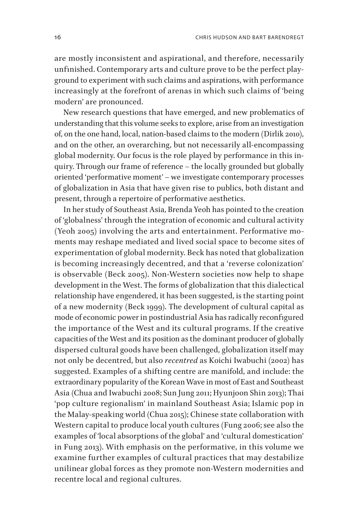are mostly inconsistent and aspirational, and therefore, necessarily unfinished. Contemporary arts and culture prove to be the perfect playground to experiment with such claims and aspirations, with performance increasingly at the forefront of arenas in which such claims of 'being modern' are pronounced.

New research questions that have emerged, and new problematics of understanding that this volume seeks to explore, arise from an investigation of, on the one hand, local, nation-based claims to the modern (Dirlik 2010), and on the other, an overarching, but not necessarily all-encompassing global modernity. Our focus is the role played by performance in this inquiry. Through our frame of reference – the locally grounded but globally oriented 'performative moment' – we investigate contemporary processes of globalization in Asia that have given rise to publics, both distant and present, through a repertoire of performative aesthetics.

In her study of Southeast Asia, Brenda Yeoh has pointed to the creation of 'globalness' through the integration of economic and cultural activity (Yeoh 2005) involving the arts and entertainment. Performative moments may reshape mediated and lived social space to become sites of experimentation of global modernity. Beck has noted that globalization is becoming increasingly decentred, and that a 'reverse colonization' is observable (Beck 2005). Non-Western societies now help to shape development in the West. The forms of globalization that this dialectical relationship have engendered, it has been suggested, is the starting point of a new modernity (Beck 1999). The development of cultural capital as mode of economic power in postindustrial Asia has radically reconfigured the importance of the West and its cultural programs. If the creative capacities of the West and its position as the dominant producer of globally dispersed cultural goods have been challenged, globalization itself may not only be decentred, but also *recentred* as Koichi Iwabuchi (2002) has suggested. Examples of a shifting centre are manifold, and include: the extraordinary popularity of the Korean Wave in most of East and Southeast Asia (Chua and Iwabuchi 2008; Sun Jung 2011; Hyunjoon Shin 2013); Thai 'pop culture regionalism' in mainland Southeast Asia; Islamic pop in the Malay-speaking world (Chua 2015); Chinese state collaboration with Western capital to produce local youth cultures (Fung 2006; see also the examples of 'local absorptions of the global' and 'cultural domestication' in Fung 2013). With emphasis on the performative, in this volume we examine further examples of cultural practices that may destabilize unilinear global forces as they promote non-Western modernities and recentre local and regional cultures.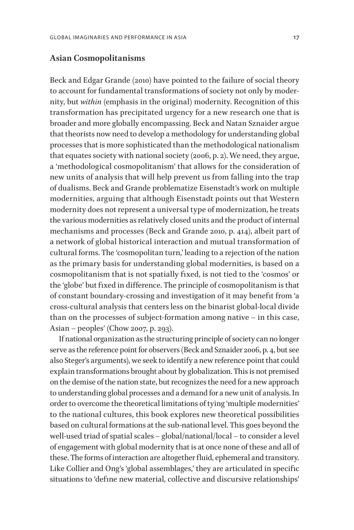### **Asian Cosmopolitanisms**

Beck and Edgar Grande (2010) have pointed to the failure of social theory to account for fundamental transformations of society not only by modernity, but *within* (emphasis in the original) modernity. Recognition of this transformation has precipitated urgency for a new research one that is broader and more globally encompassing. Beck and Natan Sznaider argue that theorists now need to develop a methodology for understanding global processes that is more sophisticated than the methodological nationalism that equates society with national society (2006, p. 2). We need, they argue, a 'methodological cosmopolitanism' that allows for the consideration of new units of analysis that will help prevent us from falling into the trap of dualisms. Beck and Grande problematize Eisenstadt's work on multiple modernities, arguing that although Eisenstadt points out that Western modernity does not represent a universal type of modernization, he treats the various modernities as relatively closed units and the product of internal mechanisms and processes (Beck and Grande 2010, p. 414), albeit part of a network of global historical interaction and mutual transformation of cultural forms. The 'cosmopolitan turn,' leading to a rejection of the nation as the primary basis for understanding global modernities, is based on a cosmopolitanism that is not spatially fixed, is not tied to the 'cosmos' or the 'globe' but fixed in difference. The principle of cosmopolitanism is that of constant boundary-crossing and investigation of it may benefit from 'a cross-cultural analysis that centers less on the binarist global-local divide than on the processes of subject-formation among native – in this case, Asian – peoples' (Chow 2007, p. 293).

If national organization as the structuring principle of society can no longer serve as the reference point for observers (Beck and Sznaider 2006, p. 4, but see also Steger's arguments), we seek to identify a new reference point that could explain transformations brought about by globalization. This is not premised on the demise of the nation state, but recognizes the need for a new approach to understanding global processes and a demand for a new unit of analysis. In order to overcome the theoretical limitations of tying 'multiple modernities' to the national cultures, this book explores new theoretical possibilities based on cultural formations at the sub-national level. This goes beyond the well-used triad of spatial scales – global/national/local – to consider a level of engagement with global modernity that is at once none of these and all of these. The forms of interaction are altogether fluid, ephemeral and transitory. Like Collier and Ong's 'global assemblages,' they are articulated in specific situations to 'define new material, collective and discursive relationships'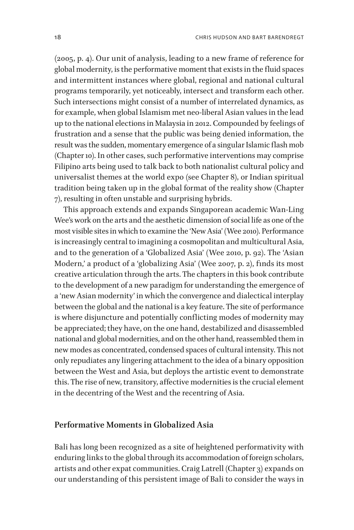(2005, p. 4). Our unit of analysis, leading to a new frame of reference for global modernity, is the performative moment that exists in the fluid spaces and intermittent instances where global, regional and national cultural programs temporarily, yet noticeably, intersect and transform each other. Such intersections might consist of a number of interrelated dynamics, as for example, when global Islamism met neo-liberal Asian values in the lead up to the national elections in Malaysia in 2012. Compounded by feelings of frustration and a sense that the public was being denied information, the result was the sudden, momentary emergence of a singular Islamic flash mob (Chapter 10). In other cases, such performative interventions may comprise Filipino arts being used to talk back to both nationalist cultural policy and universalist themes at the world expo (see Chapter 8), or Indian spiritual tradition being taken up in the global format of the reality show (Chapter 7), resulting in often unstable and surprising hybrids.

This approach extends and expands Singaporean academic Wan-Ling Wee's work on the arts and the aesthetic dimension of social life as one of the most visible sites in which to examine the 'New Asia' (Wee 2010). Performance is increasingly central to imagining a cosmopolitan and multicultural Asia, and to the generation of a 'Globalized Asia' (Wee 2010, p. 92). The 'Asian Modern,' a product of a 'globalizing Asia' (Wee 2007, p. 2), finds its most creative articulation through the arts. The chapters in this book contribute to the development of a new paradigm for understanding the emergence of a 'new Asian modernity' in which the convergence and dialectical interplay between the global and the national is a key feature. The site of performance is where disjuncture and potentially conflicting modes of modernity may be appreciated; they have, on the one hand, destabilized and disassembled national and global modernities, and on the other hand, reassembled them in new modes as concentrated, condensed spaces of cultural intensity. This not only repudiates any lingering attachment to the idea of a binary opposition between the West and Asia, but deploys the artistic event to demonstrate this. The rise of new, transitory, affective modernities is the crucial element in the decentring of the West and the recentring of Asia.

### **Performative Moments in Globalized Asia**

Bali has long been recognized as a site of heightened performativity with enduring links to the global through its accommodation of foreign scholars, artists and other expat communities. Craig Latrell (Chapter 3) expands on our understanding of this persistent image of Bali to consider the ways in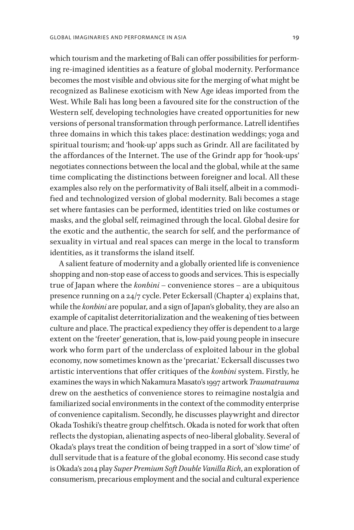which tourism and the marketing of Bali can offer possibilities for performing re-imagined identities as a feature of global modernity. Performance becomes the most visible and obvious site for the merging of what might be recognized as Balinese exoticism with New Age ideas imported from the West. While Bali has long been a favoured site for the construction of the Western self, developing technologies have created opportunities for new versions of personal transformation through performance. Latrell identifies three domains in which this takes place: destination weddings; yoga and spiritual tourism; and 'hook-up' apps such as Grindr. All are facilitated by the affordances of the Internet. The use of the Grindr app for 'hook-ups' negotiates connections between the local and the global, while at the same time complicating the distinctions between foreigner and local. All these examples also rely on the performativity of Bali itself, albeit in a commodified and technologized version of global modernity. Bali becomes a stage set where fantasies can be performed, identities tried on like costumes or masks, and the global self, reimagined through the local. Global desire for the exotic and the authentic, the search for self, and the performance of sexuality in virtual and real spaces can merge in the local to transform identities, as it transforms the island itself.

A salient feature of modernity and a globally oriented life is convenience shopping and non-stop ease of access to goods and services. This is especially true of Japan where the *konbini* – convenience stores – are a ubiquitous presence running on a 24/7 cycle. Peter Eckersall (Chapter 4) explains that, while the *konbini* are popular, and a sign of Japan's globality, they are also an example of capitalist deterritorialization and the weakening of ties between culture and place. The practical expediency they offer is dependent to a large extent on the 'freeter' generation, that is, low-paid young people in insecure work who form part of the underclass of exploited labour in the global economy, now sometimes known as the 'precariat.' Eckersall discusses two artistic interventions that offer critiques of the *konbini* system. Firstly, he examines the ways in which Nakamura Masato's 1997 artwork *Traumatrauma*  drew on the aesthetics of convenience stores to reimagine nostalgia and familiarized social environments in the context of the commodity enterprise of convenience capitalism. Secondly, he discusses playwright and director Okada Toshiki's theatre group chelfitsch.Okada is noted for work that often reflects the dystopian, alienating aspects of neo-liberal globality. Several of Okada's plays treat the condition of being trapped in a sort of 'slow time' of dull servitude that is a feature of the global economy. His second case study is Okada's 2014 play *Super Premium Soft Double Vanilla Rich*, an exploration of consumerism, precarious employment and the social and cultural experience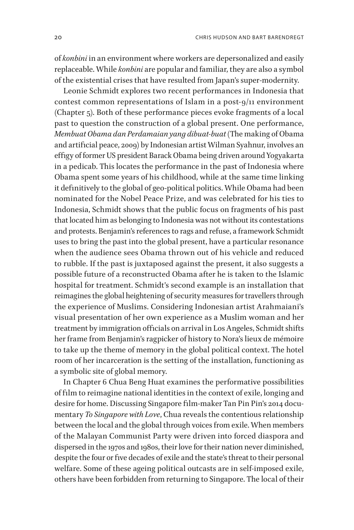of *konbini* in an environment where workers are depersonalized and easily replaceable. While *konbini* are popular and familiar, they are also a symbol of the existential crises that have resulted from Japan's super-modernity.

Leonie Schmidt explores two recent performances in Indonesia that contest common representations of Islam in a post-9/11 environment (Chapter 5). Both of these performance pieces evoke fragments of a local past to question the construction of a global present. One performance, *Membuat Obama dan Perdamaian yang dibuat-buat* (The making of Obama and artificial peace, 2009) by Indonesian artist Wilman Syahnur, involves an effigy of former US president Barack Obama being driven around Yogyakarta in a pedicab. This locates the performance in the past of Indonesia where Obama spent some years of his childhood, while at the same time linking it definitively to the global of geo-political politics. While Obama had been nominated for the Nobel Peace Prize, and was celebrated for his ties to Indonesia, Schmidt shows that the public focus on fragments of his past that located him as belonging to Indonesia was not without its contestations and protests. Benjamin's references to rags and refuse, a framework Schmidt uses to bring the past into the global present, have a particular resonance when the audience sees Obama thrown out of his vehicle and reduced to rubble. If the past is juxtaposed against the present, it also suggests a possible future of a reconstructed Obama after he is taken to the Islamic hospital for treatment. Schmidt's second example is an installation that reimagines the global heightening of security measures for travellers through the experience of Muslims. Considering Indonesian artist Arahmaiani's visual presentation of her own experience as a Muslim woman and her treatment by immigration officials on arrival in Los Angeles, Schmidt shifts her frame from Benjamin's ragpicker of history to Nora's lieux de mémoire to take up the theme of memory in the global political context. The hotel room of her incarceration is the setting of the installation, functioning as a symbolic site of global memory.

In Chapter 6 Chua Beng Huat examines the performative possibilities of film to reimagine national identities in the context of exile, longing and desire for home. Discussing Singapore film-maker Tan Pin Pin's 2014 documentary *To Singapore with Love*, Chua reveals the contentious relationship between the local and the global through voices from exile. When members of the Malayan Communist Party were driven into forced diaspora and dispersed in the 1970s and 1980s, their love for their nation never diminished, despite the four or five decades of exile and the state's threat to their personal welfare. Some of these ageing political outcasts are in self-imposed exile, others have been forbidden from returning to Singapore. The local of their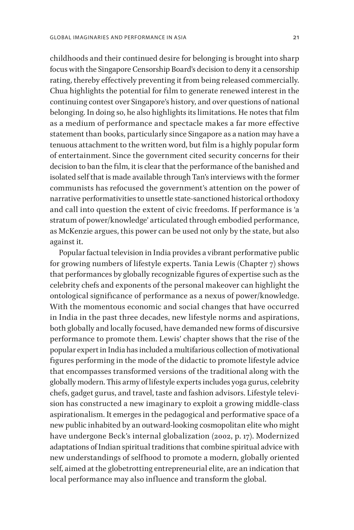childhoods and their continued desire for belonging is brought into sharp focus with the Singapore Censorship Board's decision to deny it a censorship rating, thereby effectively preventing it from being released commercially. Chua highlights the potential for film to generate renewed interest in the continuing contest over Singapore's history, and over questions of national belonging. In doing so, he also highlights its limitations. He notes that film as a medium of performance and spectacle makes a far more effective statement than books, particularly since Singapore as a nation may have a tenuous attachment to the written word, but film is a highly popular form of entertainment. Since the government cited security concerns for their decision to ban the film, it is clear that the performance of the banished and isolated self that is made available through Tan's interviews with the former communists has refocused the government's attention on the power of narrative performativities to unsettle state-sanctioned historical orthodoxy and call into question the extent of civic freedoms. If performance is 'a stratum of power/knowledge' articulated through embodied performance, as McKenzie argues, this power can be used not only by the state, but also against it.

Popular factual television in India provides a vibrant performative public for growing numbers of lifestyle experts. Tania Lewis (Chapter 7) shows that performances by globally recognizable figures of expertise such as the celebrity chefs and exponents of the personal makeover can highlight the ontological significance of performance as a nexus of power/knowledge. With the momentous economic and social changes that have occurred in India in the past three decades, new lifestyle norms and aspirations, both globally and locally focused, have demanded new forms of discursive performance to promote them. Lewis' chapter shows that the rise of the popular expert in India has included a multifarious collection of motivational figures performing in the mode of the didactic to promote lifestyle advice that encompasses transformed versions of the traditional along with the globally modern. This army of lifestyle experts includes yoga gurus, celebrity chefs, gadget gurus, and travel, taste and fashion advisors. Lifestyle television has constructed a new imaginary to exploit a growing middle-class aspirationalism. It emerges in the pedagogical and performative space of a new public inhabited by an outward-looking cosmopolitan elite who might have undergone Beck's internal globalization (2002, p. 17). Modernized adaptations of Indian spiritual traditions that combine spiritual advice with new understandings of selfhood to promote a modern, globally oriented self, aimed at the globetrotting entrepreneurial elite, are an indication that local performance may also influence and transform the global.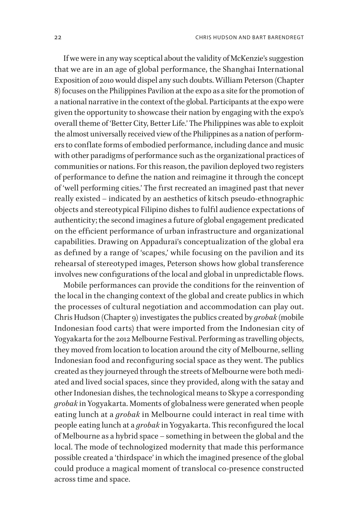If we were in any way sceptical about the validity of McKenzie's suggestion that we are in an age of global performance, the Shanghai International Exposition of 2010 would dispel any such doubts. William Peterson (Chapter 8) focuses on the Philippines Pavilion at the expo as a site for the promotion of a national narrative in the context of the global. Participants at the expo were given the opportunity to showcase their nation by engaging with the expo's overall theme of 'Better City, Better Life.' The Philippines was able to exploit the almost universally received view of the Philippines as a nation of performers to conflate forms of embodied performance, including dance and music with other paradigms of performance such as the organizational practices of communities or nations. For this reason, the pavilion deployed two registers of performance to define the nation and reimagine it through the concept of 'well performing cities.' The first recreated an imagined past that never really existed – indicated by an aesthetics of kitsch pseudo-ethnographic objects and stereotypical Filipino dishes to fulfil audience expectations of authenticity; the second imagines a future of global engagement predicated on the efficient performance of urban infrastructure and organizational capabilities. Drawing on Appadurai's conceptualization of the global era as defined by a range of 'scapes,' while focusing on the pavilion and its rehearsal of stereotyped images, Peterson shows how global transference involves new configurations of the local and global in unpredictable flows.

Mobile performances can provide the conditions for the reinvention of the local in the changing context of the global and create publics in which the processes of cultural negotiation and accommodation can play out. Chris Hudson (Chapter 9) investigates the publics created by *grobak* (mobile Indonesian food carts) that were imported from the Indonesian city of Yogyakarta for the 2012 Melbourne Festival. Performing as travelling objects, they moved from location to location around the city of Melbourne, selling Indonesian food and reconfiguring social space as they went. The publics created as they journeyed through the streets of Melbourne were both mediated and lived social spaces, since they provided, along with the satay and other Indonesian dishes, the technological means to Skype a corresponding *grobak* in Yogyakarta. Moments of globalness were generated when people eating lunch at a *grobak* in Melbourne could interact in real time with people eating lunch at a *grobak* in Yogyakarta. This reconfigured the local of Melbourne as a hybrid space – something in between the global and the local. The mode of technologized modernity that made this performance possible created a 'thirdspace' in which the imagined presence of the global could produce a magical moment of translocal co-presence constructed across time and space.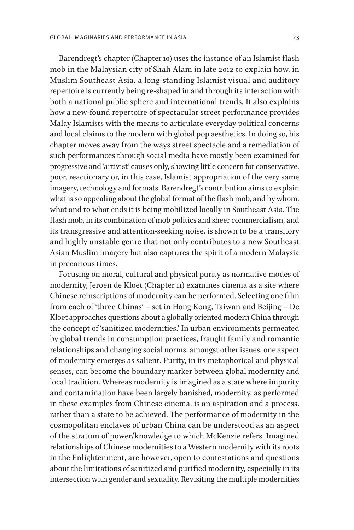Barendregt's chapter (Chapter 10) uses the instance of an Islamist flash mob in the Malaysian city of Shah Alam in late 2012 to explain how, in Muslim Southeast Asia, a long-standing Islamist visual and auditory repertoire is currently being re-shaped in and through its interaction with both a national public sphere and international trends, It also explains how a new-found repertoire of spectacular street performance provides Malay Islamists with the means to articulate everyday political concerns and local claims to the modern with global pop aesthetics. In doing so, his chapter moves away from the ways street spectacle and a remediation of such performances through social media have mostly been examined for progressive and 'artivist' causes only, showing little concern for conservative, poor, reactionary or, in this case, Islamist appropriation of the very same imagery, technology and formats. Barendregt's contribution aims to explain what is so appealing about the global format of the flash mob, and by whom, what and to what ends it is being mobilized locally in Southeast Asia. The flash mob, in its combination of mob politics and sheer commercialism, and its transgressive and attention-seeking noise, is shown to be a transitory and highly unstable genre that not only contributes to a new Southeast Asian Muslim imagery but also captures the spirit of a modern Malaysia in precarious times.

Focusing on moral, cultural and physical purity as normative modes of modernity, Jeroen de Kloet (Chapter 11) examines cinema as a site where Chinese reinscriptions of modernity can be performed. Selecting one film from each of 'three Chinas' – set in Hong Kong, Taiwan and Beijing – De Kloet approaches questions about a globally oriented modern China through the concept of 'sanitized modernities.' In urban environments permeated by global trends in consumption practices, fraught family and romantic relationships and changing social norms, amongst other issues, one aspect of modernity emerges as salient. Purity, in its metaphorical and physical senses, can become the boundary marker between global modernity and local tradition. Whereas modernity is imagined as a state where impurity and contamination have been largely banished, modernity, as performed in these examples from Chinese cinema, is an aspiration and a process, rather than a state to be achieved. The performance of modernity in the cosmopolitan enclaves of urban China can be understood as an aspect of the stratum of power/knowledge to which McKenzie refers. Imagined relationships of Chinese modernities to a Western modernity with its roots in the Enlightenment, are however, open to contestations and questions about the limitations of sanitized and purified modernity, especially in its intersection with gender and sexuality. Revisiting the multiple modernities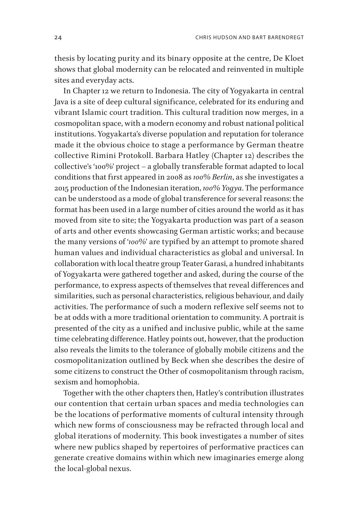thesis by locating purity and its binary opposite at the centre, De Kloet shows that global modernity can be relocated and reinvented in multiple sites and everyday acts.

In Chapter 12 we return to Indonesia. The city of Yogyakarta in central Java is a site of deep cultural significance, celebrated for its enduring and vibrant Islamic court tradition. This cultural tradition now merges, in a cosmopolitan space, with a modern economy and robust national political institutions. Yogyakarta's diverse population and reputation for tolerance made it the obvious choice to stage a performance by German theatre collective Rimini Protokoll. Barbara Hatley (Chapter 12) describes the collective's '100%' project – a globally transferable format adapted to local conditions that first appeared in 2008 as *100% Berlin*, as she investigates a 2015 production of the Indonesian iteration, *100% Yogya*. The performance can be understood as a mode of global transference for several reasons: the format has been used in a large number of cities around the world as it has moved from site to site; the Yogyakarta production was part of a season of arts and other events showcasing German artistic works; and because the many versions of '*100%*' are typified by an attempt to promote shared human values and individual characteristics as global and universal. In collaboration with local theatre group Teater Garasi, a hundred inhabitants of Yogyakarta were gathered together and asked, during the course of the performance, to express aspects of themselves that reveal differences and similarities, such as personal characteristics, religious behaviour, and daily activities. The performance of such a modern reflexive self seems not to be at odds with a more traditional orientation to community. A portrait is presented of the city as a unified and inclusive public, while at the same time celebrating difference. Hatley points out, however, that the production also reveals the limits to the tolerance of globally mobile citizens and the cosmopolitanization outlined by Beck when she describes the desire of some citizens to construct the Other of cosmopolitanism through racism, sexism and homophobia.

Together with the other chapters then, Hatley's contribution illustrates our contention that certain urban spaces and media technologies can be the locations of performative moments of cultural intensity through which new forms of consciousness may be refracted through local and global iterations of modernity. This book investigates a number of sites where new publics shaped by repertoires of performative practices can generate creative domains within which new imaginaries emerge along the local-global nexus.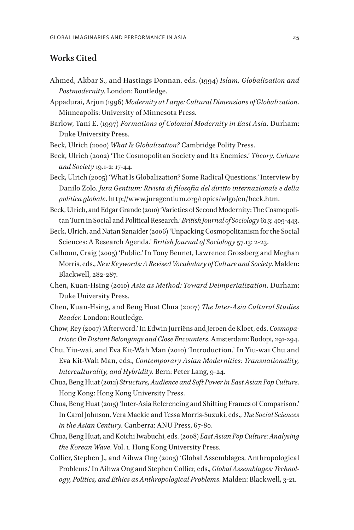### **Works Cited**

- Ahmed, Akbar S., and Hastings Donnan, eds. (1994) *Islam, Globalization and Postmodernity*. London: Routledge.
- Appadurai, Arjun (1996) *Modernity at Large: Cultural Dimensions of Globalization*. Minneapolis: University of Minnesota Press.
- Barlow, Tani E. (1997) *Formations of Colonial Modernity in East Asia*. Durham: Duke University Press.
- Beck, Ulrich (2000) *What Is Globalization?* Cambridge Polity Press.
- Beck, Ulrich (2002) 'The Cosmopolitan Society and Its Enemies.' *Theory, Culture and Society* 19.1-2: 17-44.
- Beck, Ulrich (2005) 'What Is Globalization? Some Radical Questions.' Interview by Danilo Zolo. *Jura Gentium: Rivista di filosofia del diritto internazionale e della politica globale*. http://www.juragentium.org/topics/wlgo/en/beck.htm.
- Beck, Ulrich, and Edgar Grande (2010) 'Varieties of Second Modernity: The Cosmopolitan Turn in Social and Political Research.' *British Journal of Sociology* 61.3: 409-443.
- Beck, Ulrich, and Natan Sznaider (2006) 'Unpacking Cosmopolitanism for the Social Sciences: A Research Agenda.' *British Journal of Sociology* 57.13: 2-23.
- Calhoun, Craig (2005) 'Public.' In Tony Bennet, Lawrence Grossberg and Meghan Morris, eds., *New Keywords: A Revised Vocabulary of Culture and Society*. Malden: Blackwell, 282-287.
- Chen, Kuan-Hsing (2010) *Asia as Method: Toward Deimperialization*. Durham: Duke University Press.
- Chen, Kuan-Hsing, and Beng Huat Chua (2007) *The Inter-Asia Cultural Studies Reader*. London: Routledge.
- Chow, Rey (2007) 'Afterword.' In Edwin Jurriëns and Jeroen de Kloet, eds. *Cosmopatriots: On Distant Belongings and Close Encounters*. Amsterdam: Rodopi, 291-294.
- Chu, Yiu-wai, and Eva Kit-Wah Man (2010) 'Introduction.' In Yiu-wai Chu and Eva Kit-Wah Man, eds., *Contemporary Asian Modernities: Transnationality, Interculturality, and Hybridity*. Bern: Peter Lang, 9-24.
- Chua, Beng Huat (2012) *Structure, Audience and Soft Power in East Asian Pop Culture*. Hong Kong: Hong Kong University Press.
- Chua, Beng Huat (2015) 'Inter-Asia Referencing and Shifting Frames of Comparison.' In Carol Johnson, Vera Mackie and Tessa Morris-Suzuki, eds., *The Social Sciences in the Asian Century*. Canberra: ANU Press, 67-80.
- Chua, Beng Huat, and Koichi Iwabuchi, eds. (2008) *East Asian Pop Culture: Analysing the Korean Wave*. Vol. 1. Hong Kong University Press.
- Collier, Stephen J., and Aihwa Ong (2005) 'Global Assemblages, Anthropological Problems.' In Aihwa Ong and Stephen Collier, eds., *Global Assemblages: Technology, Politics, and Ethics as Anthropological Problems*. Malden: Blackwell, 3-21.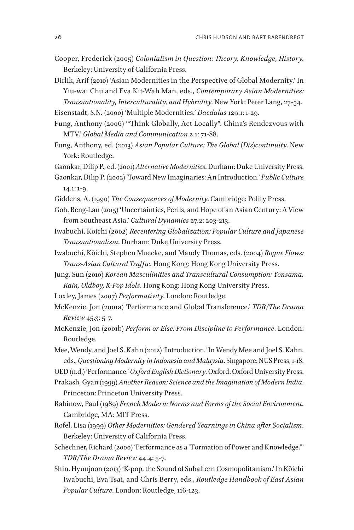- Cooper, Frederick (2005) *Colonialism in Question: Theory, Knowledge, History*. Berkeley: University of California Press.
- Dirlik, Arif (2010) 'Asian Modernities in the Perspective of Global Modernity.' In Yiu-wai Chu and Eva Kit-Wah Man, eds., *Contemporary Asian Modernities: Transnationality, Interculturality, and Hybridity*. New York: Peter Lang, 27-54.

Eisenstadt, S.N. (2000) 'Multiple Modernities.' *Daedalus* 129.1: 1-29.

- Fung, Anthony (2006) '"Think Globally, Act Locally": China's Rendezvous with MTV.' *Global Media and Communication* 2.1: 71-88.
- Fung, Anthony, ed. (2013) *Asian Popular Culture: The Global (Dis)continuity*. New York: Routledge.
- Gaonkar, Dilip P., ed. (2001) *Alternative Modernities*. Durham: Duke University Press.
- Gaonkar, Dilip P. (2002) 'Toward New Imaginaries: An Introduction.' *Public Culture*  14.1: 1-9.
- Giddens, A. (1990) *The Consequences of Modernity*. Cambridge: Polity Press.
- Goh, Beng-Lan (2015) 'Uncertainties, Perils, and Hope of an Asian Century: A View from Southeast Asia.' *Cultural Dynamics* 27.2: 203-213.
- Iwabuchi, Koichi (2002) *Recentering Globalization: Popular Culture and Japanese Transnationalism*. Durham: Duke University Press.
- Iwabuchi, Kōichi, Stephen Muecke, and Mandy Thomas, eds. (2004) *Rogue Flows: Trans-Asian Cultural Traffic*. Hong Kong: Hong Kong University Press.
- Jung, Sun (2010) *Korean Masculinities and Transcultural Consumption: Yonsama, Rain, Oldboy, K-Pop Idols*. Hong Kong: Hong Kong University Press.
- Loxley, James (2007) *Performativity*. London: Routledge.
- McKenzie, Jon (2001a) 'Performance and Global Transference.' *TDR/The Drama Review* 45.3: 5-7.
- McKenzie, Jon (2001b) *Perform or Else: From Discipline to Performance*. London: Routledge.
- Mee, Wendy, and Joel S. Kahn (2012) 'Introduction.' In Wendy Mee and Joel S. Kahn, eds., *Questioning Modernity in Indonesia and Malaysia*. Singapore: NUS Press, 1-18.

OED (n.d.) 'Performance.' *Oxford English Dictionary*. Oxford: Oxford University Press.

- Prakash, Gyan (1999) *Another Reason: Science and the Imagination of Modern India*. Princeton: Princeton University Press.
- Rabinow, Paul (1989) *French Modern: Norms and Forms of the Social Environment*. Cambridge, MA: MIT Press.
- Rofel, Lisa (1999) *Other Modernities: Gendered Yearnings in China after Socialism*. Berkeley: University of California Press.
- Schechner, Richard (2000) 'Performance as a "Formation of Power and Knowledge."' *TDR/The Drama Review* 44.4: 5-7.
- Shin, Hyunjoon (2013) 'K-pop, the Sound of Subaltern Cosmopolitanism.' In Kōichi Iwabuchi, Eva Tsai, and Chris Berry, eds., *Routledge Handbook of East Asian Popular Culture*. London: Routledge, 116-123.